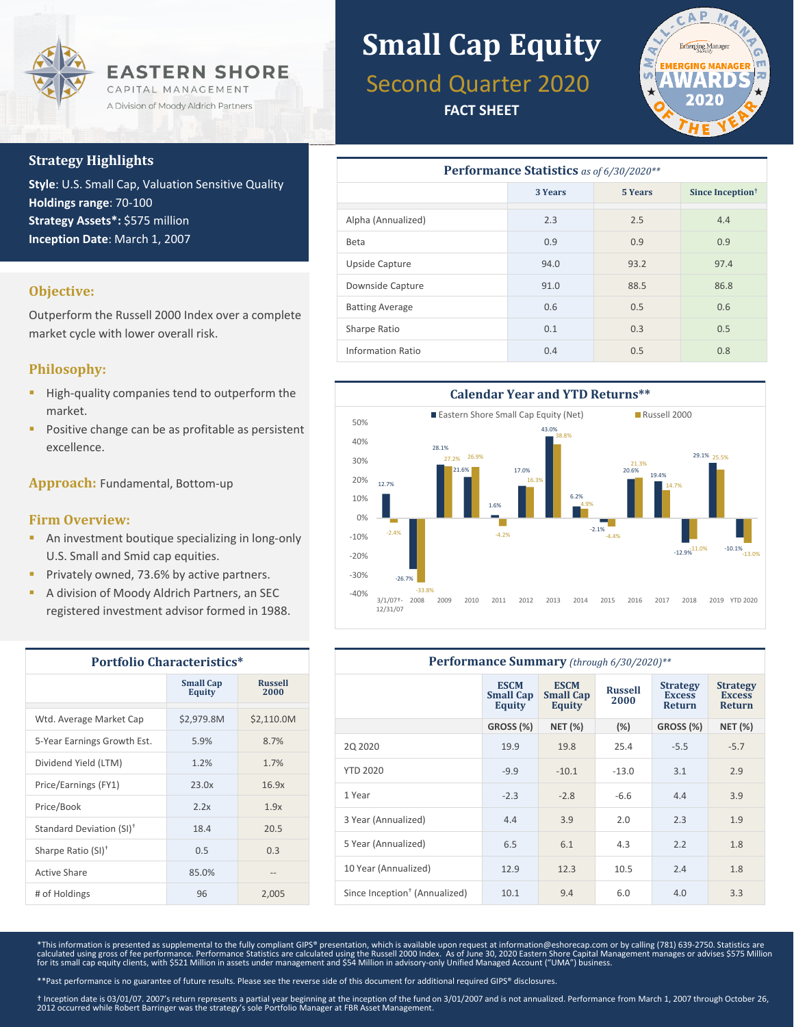

#### **Strategy Highlights**

**Style**: U.S. Small Cap, Valuation Sensitive Quality **Holdings range**: 70-100 **Strategy Assets\*:** \$575 million **Inception Date**: March 1, 2007

#### **Objective:**

Outperform the Russell 2000 Index over a complete market cycle with lower overall risk.

#### **Philosophy:**

- High-quality companies tend to outperform the market.
- Positive change can be as profitable as persistent excellence.

**Approach:** Fundamental, Bottom-up

#### **Firm Overview:**

- **An investment boutique specializing in long-only** U.S. Small and Smid cap equities.
- Privately owned, 73.6% by active partners.
- A division of Moody Aldrich Partners, an SEC registered investment advisor formed in 1988.

| <b>Portfolio Characteristics*</b>    |                                   |                        |  |  |
|--------------------------------------|-----------------------------------|------------------------|--|--|
|                                      | <b>Small Cap</b><br><b>Equity</b> | <b>Russell</b><br>2000 |  |  |
| Wtd. Average Market Cap              | \$2,979.8M                        | \$2,110.0M             |  |  |
| 5-Year Earnings Growth Est.          | 5.9%                              | 8.7%                   |  |  |
| Dividend Yield (LTM)                 | 1.2%                              | 1.7%                   |  |  |
| Price/Earnings (FY1)                 | 23.0x                             | 16.9x                  |  |  |
| Price/Book                           | 2.2x                              | 1.9x                   |  |  |
| Standard Deviation (SI) <sup>+</sup> | 18.4                              | 20.5                   |  |  |
| Sharpe Ratio (SI) <sup>+</sup>       | 0.5                               | 0.3                    |  |  |
| Active Share                         | 85.0%                             |                        |  |  |
| # of Holdings                        | 96                                | 2,005                  |  |  |

# **Small Cap Equity**

## Second Quarter 2020

**FACT SHEET**



| <b>Performance Statistics</b> as of 6/30/2020** |         |                |                              |  |  |  |
|-------------------------------------------------|---------|----------------|------------------------------|--|--|--|
|                                                 | 3 Years | <b>5 Years</b> | Since Inception <sup>†</sup> |  |  |  |
| Alpha (Annualized)                              | 2.3     | 2.5            | 4.4                          |  |  |  |
| Beta                                            | 0.9     | 0.9            | 0.9                          |  |  |  |
| Upside Capture                                  | 94.0    | 93.2           | 97.4                         |  |  |  |
| Downside Capture                                | 91.0    | 88.5           | 86.8                         |  |  |  |
| <b>Batting Average</b>                          | 0.6     | 0.5            | 0.6                          |  |  |  |
| Sharpe Ratio                                    | 0.1     | 0.3            | 0.5                          |  |  |  |
| <b>Information Ratio</b>                        | 0.4     | 0.5            | 0.8                          |  |  |  |



| Performance Summary (through 6/30/2020)** |                                                  |                                                  |                        |                                                   |                                                   |
|-------------------------------------------|--------------------------------------------------|--------------------------------------------------|------------------------|---------------------------------------------------|---------------------------------------------------|
|                                           | <b>ESCM</b><br><b>Small Cap</b><br><b>Equity</b> | <b>ESCM</b><br><b>Small Cap</b><br><b>Equity</b> | <b>Russell</b><br>2000 | <b>Strategy</b><br><b>Excess</b><br><b>Return</b> | <b>Strategy</b><br><b>Excess</b><br><b>Return</b> |
|                                           | GROSS (%)                                        | <b>NET (%)</b>                                   | (%)                    | GROSS (%)                                         | <b>NET (%)</b>                                    |
| 20 20 20                                  | 19.9                                             | 19.8                                             | 25.4                   | $-5.5$                                            | $-5.7$                                            |
| <b>YTD 2020</b>                           | $-9.9$                                           | $-10.1$                                          | $-13.0$                | 3.1                                               | 2.9                                               |
| 1 Year                                    | $-2.3$                                           | $-2.8$                                           | $-6.6$                 | 4.4                                               | 3.9                                               |
| 3 Year (Annualized)                       | 4.4                                              | 3.9                                              | 2.0                    | 2.3                                               | 1.9                                               |
| 5 Year (Annualized)                       | 6.5                                              | 6.1                                              | 4.3                    | 2.2                                               | 1.8                                               |
| 10 Year (Annualized)                      | 12.9                                             | 12.3                                             | 10.5                   | 2.4                                               | 1.8                                               |
| Since Inception <sup>+</sup> (Annualized) | 10.1                                             | 9.4                                              | 6.0                    | 4.0                                               | 3.3                                               |

\*This information is presented as supplemental to the fully compliant GIPS® presentation, which is available upon request at information@eshorecap.com or by calling (781) 639-2750. Statistics are calculated using gross of fee performance. Performance Statistics are calculated using the Russell 2000 Index. As of June 30, 2020 Eastern Shore Capital Management manages or advises \$575 Million<br>for its small cap equity c

\*\*Past performance is no guarantee of future results. Please see the reverse side of this document for additional required GIPS® disclosures.

† Inception date is 03/01/07. 2007's return represents a partial year beginning at the inception of the fund on 3/01/2007 and is not annualized. Performance from March 1, 2007 through October 26, 2012 occurred while Robert Barringer was the strategy's sole Portfolio Manager at FBR Asset Management.